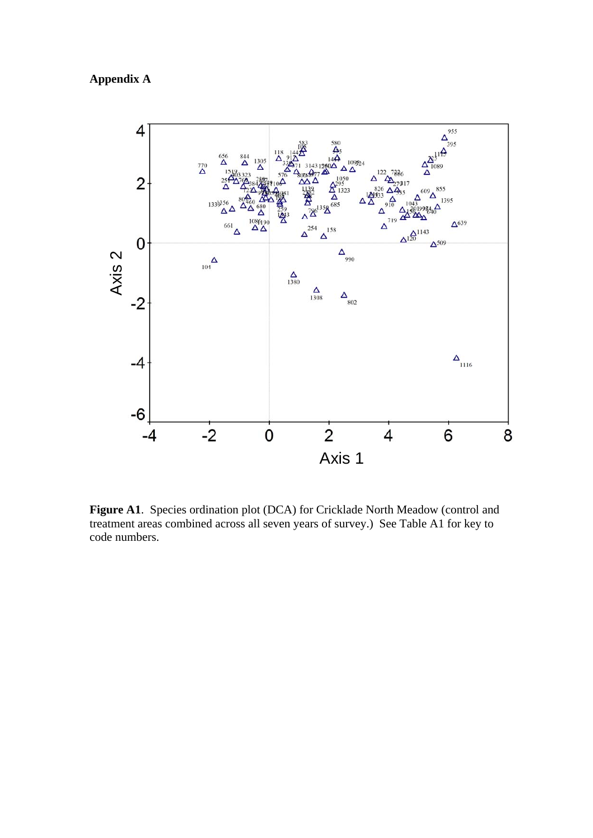## **Appendix A**



**Figure A1**. Species ordination plot (DCA) for Cricklade North Meadow (control and treatment areas combined across all seven years of survey.) See Table A1 for key to code numbers.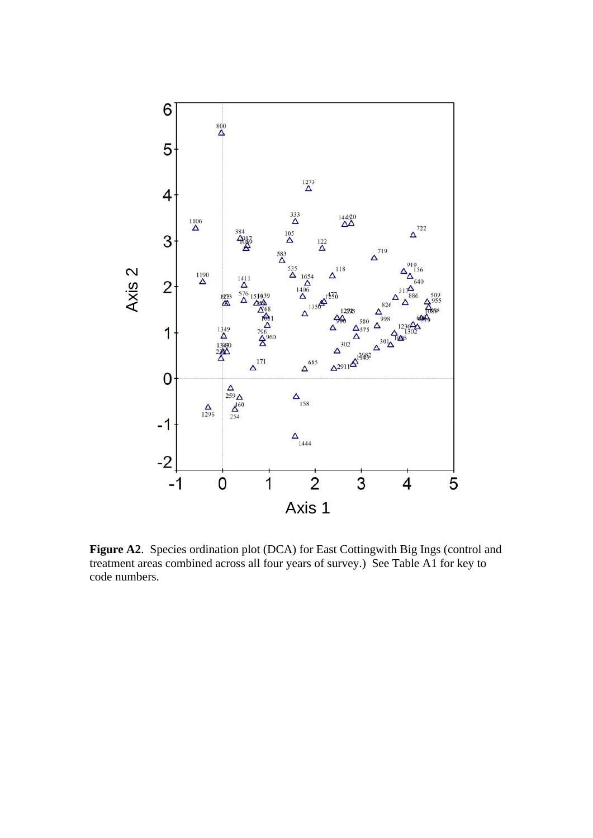

**Figure A2**. Species ordination plot (DCA) for East Cottingwith Big Ings (control and treatment areas combined across all four years of survey.) See Table A1 for key to code numbers.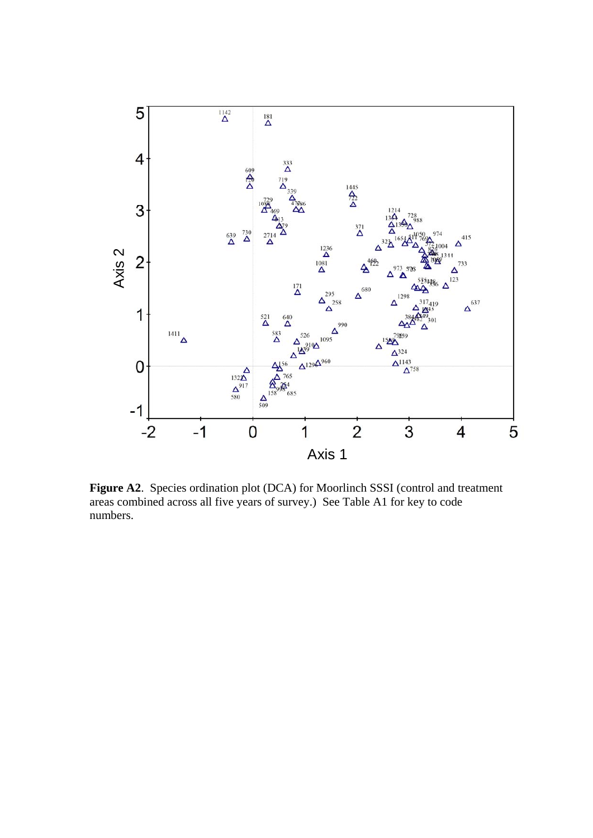

**Figure A2**. Species ordination plot (DCA) for Moorlinch SSSI (control and treatment areas combined across all five years of survey.) See Table A1 for key to code numbers.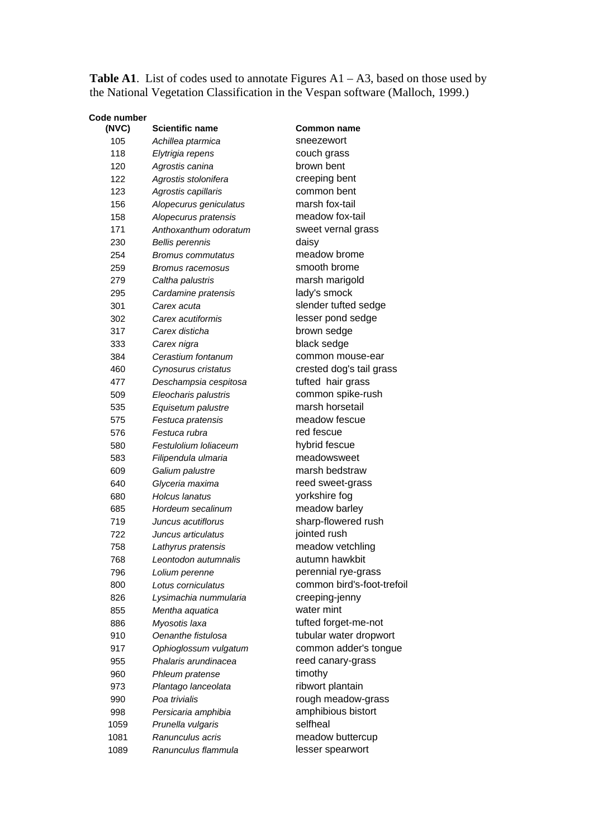**Table A1**. List of codes used to annotate Figures  $A1 - A3$ , based on those used by the National Vegetation Classification in the Vespan software (Malloch, 1999.)

| <b>Code number</b> |                          |                    |
|--------------------|--------------------------|--------------------|
| (NVC)              | <b>Scientific name</b>   | <b>Common name</b> |
| 105                | Achillea ptarmica        | sneezewort         |
| 118                | Elytrigia repens         | couch grass        |
| 120                | Agrostis canina          | brown bent         |
| 122                | Agrostis stolonifera     | creeping bent      |
| 123                | Agrostis capillaris      | common bent        |
| 156                | Alopecurus geniculatus   | marsh fox-tail     |
| 158                | Alopecurus pratensis     | meadow fox-tail    |
| 171                | Anthoxanthum odoratum    | sweet vernal gras  |
| 230                | <b>Bellis perennis</b>   | daisy              |
| 254                | <b>Bromus commutatus</b> | meadow brome       |
| 259                | Bromus racemosus         | smooth brome       |
| 279                | Caltha palustris         | marsh marigold     |
| 295                | Cardamine pratensis      | lady's smock       |
| 301                | Carex acuta              | slender tufted se  |
| 302                | Carex acutiformis        | lesser pond sedg   |
| 317                | Carex disticha           | brown sedge        |
| 333                | Carex nigra              | black sedge        |
| 384                | Cerastium fontanum       | common mouse-      |
| 460                | Cynosurus cristatus      | crested dog's tail |
| 477                | Deschampsia cespitosa    | tufted hair grass  |
| 509                | Eleocharis palustris     | common spike-ru    |
| 535                | Equisetum palustre       | marsh horsetail    |
| 575                | Festuca pratensis        | meadow fescue      |
| 576                | Festuca rubra            | red fescue         |
| 580                | Festulolium Ioliaceum    | hybrid fescue      |
| 583                | Filipendula ulmaria      | meadowsweet        |
| 609                | Galium palustre          | marsh bedstraw     |
| 640                | Glyceria maxima          | reed sweet-grass   |
| 680                | <b>Holcus lanatus</b>    | yorkshire fog      |
| 685                | Hordeum secalinum        | meadow barley      |
| 719                | Juncus acutiflorus       | sharp-flowered ru  |
| 722                | Juncus articulatus       | jointed rush       |
| 758                | Lathyrus pratensis       | meadow vetchlin    |
| 768                | Leontodon autumnalis     | autumn hawkbit     |
| 796                | Lolium perenne           | perennial rye-gra  |
| 800                | Lotus corniculatus       | common bird's-fc   |
| 826                | Lysimachia nummularia    | creeping-jenny     |
| 855                | Mentha aquatica          | water mint         |
| 886                | Myosotis laxa            | tufted forget-me-  |
| 910                | Oenanthe fistulosa       | tubular water dro  |
| 917                | Ophioglossum vulgatum    | common adder's     |
| 955                | Phalaris arundinacea     | reed canary-gras   |
| 960                | Phleum pratense          | timothy            |
| 973                | Plantago lanceolata      | ribwort plantain   |
| 990                | Poa trivialis            | rough meadow-g     |
| 998                | Persicaria amphibia      | amphibious bisto   |
| 1059               | Prunella vulgaris        | selfheal           |
| 1081               | Ranunculus acris         | meadow buttercu    |
| 1089               | Ranunculus flammula      | lesser spearwort   |

**(NVC) Scientific name Common name**  105 *Achillea ptarmica* sneezewort 118 *Elytrigia repens* couch grass brown bent 122 *Agrostis stolonifera* creeping bent 123 *Agrostis capillaris* common bent marsh fox-tail meadow fox-tail sweet vernal grass daisy meadow brome smooth brome marsh marigold lady's smock slender tufted sedge lesser pond sedge brown sedge black sedge 384 *Cerastium fontanum* common mouse-ear 460 *Cynosurus cristatus* crested dog's tail grass tufted hair grass 509 *Eleocharis palustris* common spike-rush 535 *Equisetum palustre* marsh horsetail 575 *Festuca pratensis* meadow fescue red fescue 580 *Festulolium loliaceum* hybrid fescue 583 *Filipendula ulmaria* meadowsweet marsh bedstraw reed sweet-grass 680 *Holcus lanatus* yorkshire fog meadow barley sharp-flowered rush jointed rush meadow vetchling 768 *Leontodon autumnalis* autumn hawkbit 796 *Lolium perenne* perennial rye-grass 800 *Lotus corniculatus* common bird's-foot-trefoil 826 *Lysimachia nummularia* creeping-jenny water mint tufted forget-me-not tubular water dropwort common adder's tongue reed canary-grass timothy ribwort plantain rough meadow-grass amphibious bistort selfheal meadow buttercup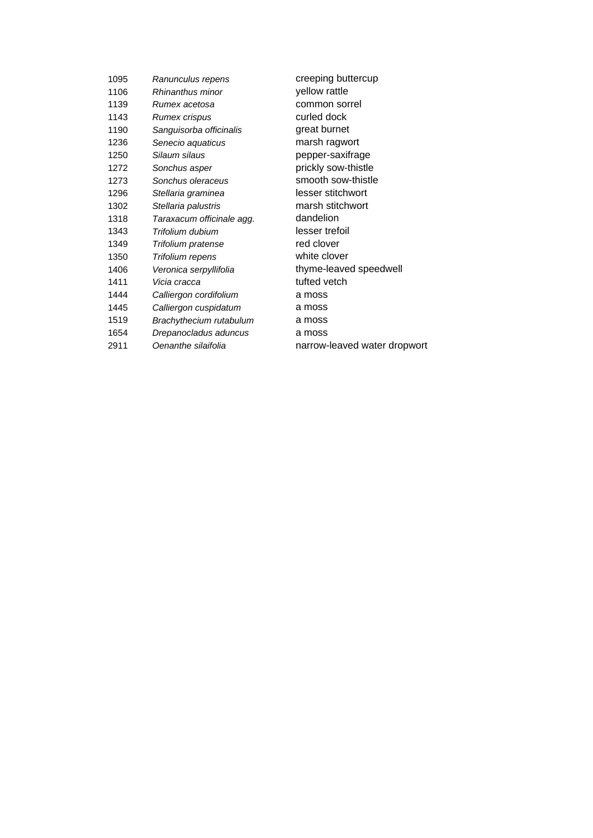| 1095 | Ranunculus repens         | creeping buttercup           |
|------|---------------------------|------------------------------|
| 1106 | Rhinanthus minor          | yellow rattle                |
| 1139 | Rumex acetosa             | common sorrel                |
| 1143 | Rumex crispus             | curled dock                  |
| 1190 | Sanguisorba officinalis   | great burnet                 |
| 1236 | Senecio aquaticus         | marsh ragwort                |
| 1250 | Silaum silaus             | pepper-saxifrage             |
| 1272 | Sonchus asper             | prickly sow-thistle          |
| 1273 | Sonchus oleraceus         | smooth sow-thistle           |
| 1296 | Stellaria graminea        | lesser stitchwort            |
| 1302 | Stellaria palustris       | marsh stitchwort             |
| 1318 | Taraxacum officinale agg. | dandelion                    |
| 1343 | Trifolium dubium          | lesser trefoil               |
| 1349 | Trifolium pratense        | red clover                   |
| 1350 | Trifolium repens          | white clover                 |
| 1406 | Veronica serpyllifolia    | thyme-leaved speedwell       |
| 1411 | Vicia cracca              | tufted vetch                 |
| 1444 | Calliergon cordifolium    | a moss                       |
| 1445 | Calliergon cuspidatum     | a moss                       |
| 1519 | Brachythecium rutabulum   | a moss                       |
| 1654 | Drepanocladus aduncus     | a moss                       |
| 2911 | Oenanthe silaifolia       | narrow-leaved water dropwort |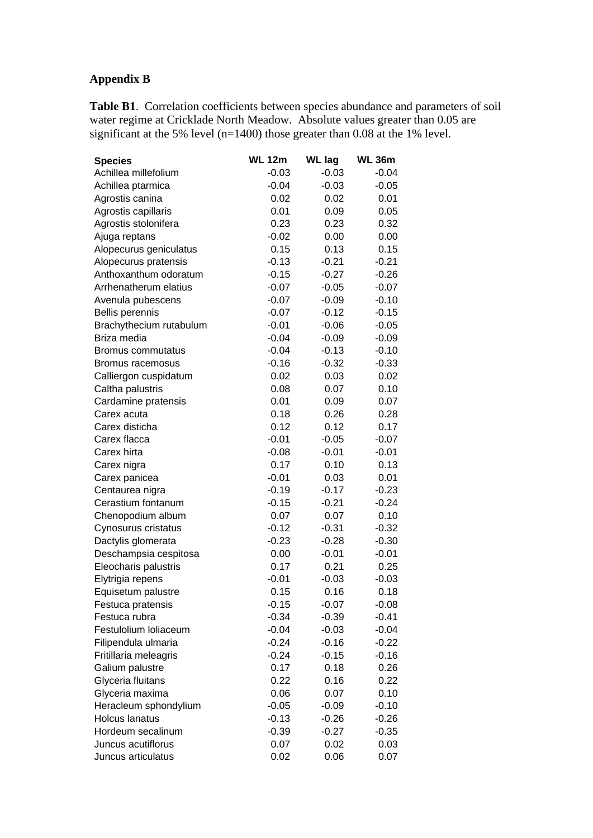## **Appendix B**

**Table B1**. Correlation coefficients between species abundance and parameters of soil water regime at Cricklade North Meadow. Absolute values greater than 0.05 are significant at the 5% level (n=1400) those greater than 0.08 at the 1% level.

| <b>Species</b>           | <b>WL 12m</b> | <b>WL lag</b> | <b>WL 36m</b> |
|--------------------------|---------------|---------------|---------------|
| Achillea millefolium     | $-0.03$       | $-0.03$       | $-0.04$       |
| Achillea ptarmica        | $-0.04$       | $-0.03$       | $-0.05$       |
| Agrostis canina          | 0.02          | 0.02          | 0.01          |
| Agrostis capillaris      | 0.01          | 0.09          | 0.05          |
| Agrostis stolonifera     | 0.23          | 0.23          | 0.32          |
| Ajuga reptans            | $-0.02$       | 0.00          | 0.00          |
| Alopecurus geniculatus   | 0.15          | 0.13          | 0.15          |
| Alopecurus pratensis     | $-0.13$       | $-0.21$       | $-0.21$       |
| Anthoxanthum odoratum    | $-0.15$       | $-0.27$       | $-0.26$       |
| Arrhenatherum elatius    | $-0.07$       | $-0.05$       | $-0.07$       |
| Avenula pubescens        | $-0.07$       | $-0.09$       | $-0.10$       |
| <b>Bellis perennis</b>   | $-0.07$       | $-0.12$       | $-0.15$       |
| Brachythecium rutabulum  | $-0.01$       | $-0.06$       | $-0.05$       |
| Briza media              | $-0.04$       | $-0.09$       | $-0.09$       |
| <b>Bromus commutatus</b> | $-0.04$       | $-0.13$       | $-0.10$       |
| Bromus racemosus         | $-0.16$       | $-0.32$       | $-0.33$       |
| Calliergon cuspidatum    | 0.02          | 0.03          | 0.02          |
| Caltha palustris         | 0.08          | 0.07          | 0.10          |
| Cardamine pratensis      | 0.01          | 0.09          | 0.07          |
| Carex acuta              | 0.18          | 0.26          | 0.28          |
| Carex disticha           | 0.12          | 0.12          | 0.17          |
| Carex flacca             | $-0.01$       | $-0.05$       | $-0.07$       |
| Carex hirta              | $-0.08$       | $-0.01$       | $-0.01$       |
| Carex nigra              | 0.17          | 0.10          | 0.13          |
| Carex panicea            | $-0.01$       | 0.03          | 0.01          |
| Centaurea nigra          | $-0.19$       | $-0.17$       | $-0.23$       |
| Cerastium fontanum       | $-0.15$       | $-0.21$       | $-0.24$       |
| Chenopodium album        | 0.07          | 0.07          | 0.10          |
| Cynosurus cristatus      | $-0.12$       | $-0.31$       | $-0.32$       |
| Dactylis glomerata       | $-0.23$       | $-0.28$       | $-0.30$       |
| Deschampsia cespitosa    | 0.00          | $-0.01$       | $-0.01$       |
| Eleocharis palustris     | 0.17          | 0.21          | 0.25          |
| Elytrigia repens         | $-0.01$       | $-0.03$       | $-0.03$       |
| Equisetum palustre       | 0.15          | 0.16          | 0.18          |
| Festuca pratensis        | $-0.15$       | $-0.07$       | $-0.08$       |
| Festuca rubra            | $-0.34$       | $-0.39$       | $-0.41$       |
| Festulolium loliaceum    | $-0.04$       | $-0.03$       | $-0.04$       |
| Filipendula ulmaria      | $-0.24$       | $-0.16$       | $-0.22$       |
| Fritillaria meleagris    | $-0.24$       | $-0.15$       | $-0.16$       |
| Galium palustre          | 0.17          | 0.18          | 0.26          |
| Glyceria fluitans        | 0.22          | 0.16          | 0.22          |
| Glyceria maxima          | 0.06          | 0.07          | 0.10          |
| Heracleum sphondylium    | $-0.05$       | $-0.09$       | $-0.10$       |
| <b>Holcus lanatus</b>    | $-0.13$       | $-0.26$       | $-0.26$       |
| Hordeum secalinum        | $-0.39$       | $-0.27$       | $-0.35$       |
| Juncus acutiflorus       | 0.07          | 0.02          | 0.03          |
| Juncus articulatus       | 0.02          | 0.06          | 0.07          |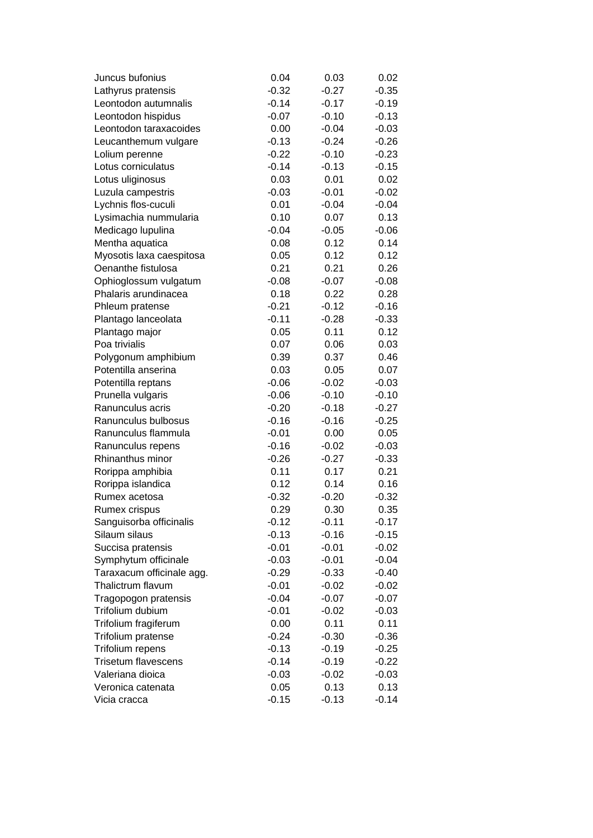| Juncus bufonius                       | 0.04    | 0.03    | 0.02    |
|---------------------------------------|---------|---------|---------|
| Lathyrus pratensis                    | $-0.32$ | $-0.27$ | $-0.35$ |
| Leontodon autumnalis                  | $-0.14$ | $-0.17$ | $-0.19$ |
| Leontodon hispidus                    | $-0.07$ | $-0.10$ | $-0.13$ |
| Leontodon taraxacoides                | 0.00    | $-0.04$ | $-0.03$ |
| Leucanthemum vulgare                  | $-0.13$ | $-0.24$ | $-0.26$ |
| Lolium perenne                        | $-0.22$ | $-0.10$ | $-0.23$ |
| Lotus corniculatus                    | $-0.14$ | $-0.13$ | $-0.15$ |
| Lotus uliginosus                      | 0.03    | 0.01    | 0.02    |
| Luzula campestris                     | $-0.03$ | $-0.01$ | $-0.02$ |
| Lychnis flos-cuculi                   | 0.01    | $-0.04$ | $-0.04$ |
| Lysimachia nummularia                 | 0.10    | 0.07    | 0.13    |
| Medicago lupulina                     | $-0.04$ | $-0.05$ | $-0.06$ |
| Mentha aquatica                       | 0.08    | 0.12    | 0.14    |
| Myosotis laxa caespitosa              | 0.05    | 0.12    | 0.12    |
| Oenanthe fistulosa                    | 0.21    | 0.21    | 0.26    |
| Ophioglossum vulgatum                 | $-0.08$ | $-0.07$ | $-0.08$ |
| Phalaris arundinacea                  | 0.18    | 0.22    | 0.28    |
| Phleum pratense                       | $-0.21$ | $-0.12$ | $-0.16$ |
| Plantago lanceolata                   | $-0.11$ | $-0.28$ | $-0.33$ |
| Plantago major                        | 0.05    | 0.11    | 0.12    |
| Poa trivialis                         | 0.07    | 0.06    | 0.03    |
| Polygonum amphibium                   | 0.39    | 0.37    | 0.46    |
| Potentilla anserina                   | 0.03    | 0.05    | 0.07    |
| Potentilla reptans                    | $-0.06$ | $-0.02$ | $-0.03$ |
| Prunella vulgaris                     | $-0.06$ | $-0.10$ | $-0.10$ |
| Ranunculus acris                      | $-0.20$ | $-0.18$ | $-0.27$ |
| Ranunculus bulbosus                   | $-0.16$ | $-0.16$ | $-0.25$ |
| Ranunculus flammula                   | $-0.01$ | 0.00    | 0.05    |
|                                       | $-0.16$ | $-0.02$ | $-0.03$ |
| Ranunculus repens<br>Rhinanthus minor | $-0.26$ | $-0.27$ | $-0.33$ |
|                                       |         |         |         |
| Rorippa amphibia                      | 0.11    | 0.17    | 0.21    |
| Rorippa islandica                     | 0.12    | 0.14    | 0.16    |
| Rumex acetosa                         | $-0.32$ | $-0.20$ | $-0.32$ |
| Rumex crispus                         | 0.29    | 0.30    | 0.35    |
| Sanguisorba officinalis               | $-0.12$ | $-0.11$ | $-0.17$ |
| Silaum silaus                         | $-0.13$ | $-0.16$ | $-0.15$ |
| Succisa pratensis                     | $-0.01$ | $-0.01$ | $-0.02$ |
| Symphytum officinale                  | $-0.03$ | $-0.01$ | $-0.04$ |
| Taraxacum officinale agg.             | $-0.29$ | $-0.33$ | $-0.40$ |
| Thalictrum flavum                     | $-0.01$ | $-0.02$ | $-0.02$ |
| Tragopogon pratensis                  | $-0.04$ | $-0.07$ | $-0.07$ |
| Trifolium dubium                      | $-0.01$ | $-0.02$ | $-0.03$ |
| Trifolium fragiferum                  | 0.00    | 0.11    | 0.11    |
| Trifolium pratense                    | $-0.24$ | $-0.30$ | $-0.36$ |
| Trifolium repens                      | $-0.13$ | $-0.19$ | $-0.25$ |
| <b>Trisetum flavescens</b>            | $-0.14$ | $-0.19$ | $-0.22$ |
| Valeriana dioica                      | $-0.03$ | $-0.02$ | $-0.03$ |
| Veronica catenata                     | 0.05    | 0.13    | 0.13    |
| Vicia cracca                          | $-0.15$ | $-0.13$ | $-0.14$ |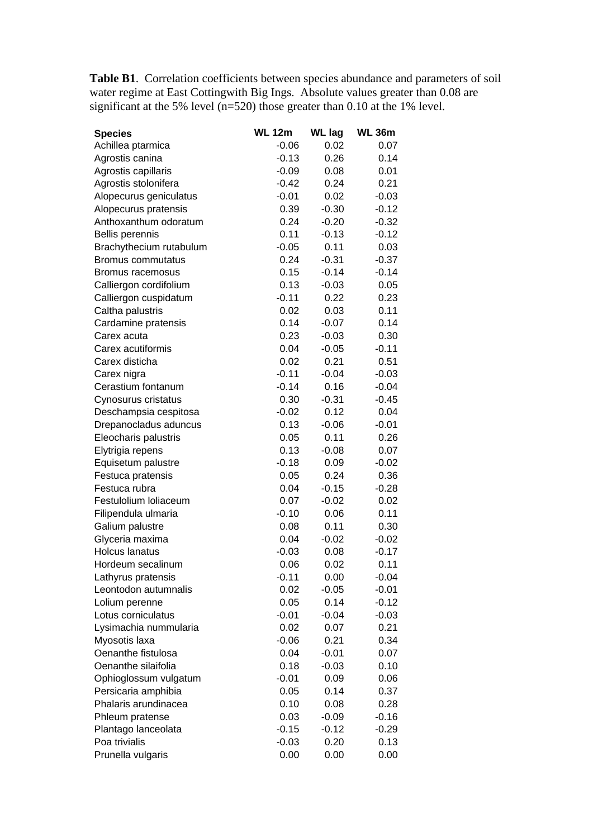**Table B1**. Correlation coefficients between species abundance and parameters of soil water regime at East Cottingwith Big Ings. Absolute values greater than 0.08 are significant at the 5% level  $(n=520)$  those greater than 0.10 at the 1% level.

| <b>Species</b>          | <b>WL 12m</b> | <b>WL lag</b> | <b>WL 36m</b> |
|-------------------------|---------------|---------------|---------------|
| Achillea ptarmica       | $-0.06$       | 0.02          | 0.07          |
| Agrostis canina         | $-0.13$       | 0.26          | 0.14          |
| Agrostis capillaris     | $-0.09$       | 0.08          | 0.01          |
| Agrostis stolonifera    | $-0.42$       | 0.24          | 0.21          |
| Alopecurus geniculatus  | $-0.01$       | 0.02          | $-0.03$       |
| Alopecurus pratensis    | 0.39          | $-0.30$       | $-0.12$       |
| Anthoxanthum odoratum   | 0.24          | $-0.20$       | $-0.32$       |
| Bellis perennis         | 0.11          | $-0.13$       | $-0.12$       |
| Brachythecium rutabulum | $-0.05$       | 0.11          | 0.03          |
| Bromus commutatus       | 0.24          | $-0.31$       | $-0.37$       |
| Bromus racemosus        | 0.15          | $-0.14$       | $-0.14$       |
| Calliergon cordifolium  | 0.13          | $-0.03$       | 0.05          |
| Calliergon cuspidatum   | $-0.11$       | 0.22          | 0.23          |
| Caltha palustris        | 0.02          | 0.03          | 0.11          |
| Cardamine pratensis     | 0.14          | $-0.07$       | 0.14          |
| Carex acuta             | 0.23          | $-0.03$       | 0.30          |
| Carex acutiformis       | 0.04          | $-0.05$       | $-0.11$       |
| Carex disticha          | 0.02          | 0.21          | 0.51          |
| Carex nigra             | $-0.11$       | $-0.04$       | $-0.03$       |
| Cerastium fontanum      | $-0.14$       | 0.16          | $-0.04$       |
| Cynosurus cristatus     | 0.30          | $-0.31$       | $-0.45$       |
| Deschampsia cespitosa   | $-0.02$       | 0.12          | 0.04          |
| Drepanocladus aduncus   | 0.13          | $-0.06$       | $-0.01$       |
| Eleocharis palustris    | 0.05          | 0.11          | 0.26          |
| Elytrigia repens        | 0.13          | $-0.08$       | 0.07          |
| Equisetum palustre      | $-0.18$       | 0.09          | $-0.02$       |
| Festuca pratensis       | 0.05          | 0.24          | 0.36          |
| Festuca rubra           | 0.04          | $-0.15$       | $-0.28$       |
| Festulolium loliaceum   | 0.07          | $-0.02$       | 0.02          |
| Filipendula ulmaria     | $-0.10$       | 0.06          | 0.11          |
| Galium palustre         | 0.08          | 0.11          | 0.30          |
| Glyceria maxima         | 0.04          | $-0.02$       | $-0.02$       |
| <b>Holcus lanatus</b>   | $-0.03$       | 0.08          | $-0.17$       |
| Hordeum secalinum       | 0.06          | 0.02          | 0.11          |
| Lathyrus pratensis      | $-0.11$       | 0.00          | $-0.04$       |
| Leontodon autumnalis    | 0.02          | $-0.05$       | $-0.01$       |
| Lolium perenne          | 0.05          | 0.14          | $-0.12$       |
| Lotus corniculatus      | $-0.01$       | $-0.04$       | $-0.03$       |
| Lysimachia nummularia   | 0.02          | 0.07          | 0.21          |
| Myosotis laxa           | $-0.06$       | 0.21          | 0.34          |
| Oenanthe fistulosa      | 0.04          | $-0.01$       | 0.07          |
| Oenanthe silaifolia     | 0.18          | $-0.03$       | 0.10          |
| Ophioglossum vulgatum   | $-0.01$       | 0.09          | 0.06          |
| Persicaria amphibia     | 0.05          | 0.14          | 0.37          |
| Phalaris arundinacea    | 0.10          | 0.08          | 0.28          |
| Phleum pratense         | 0.03          | $-0.09$       | $-0.16$       |
| Plantago lanceolata     | $-0.15$       | $-0.12$       | $-0.29$       |
| Poa trivialis           | $-0.03$       | 0.20          | 0.13          |
| Prunella vulgaris       | 0.00          | 0.00          | 0.00          |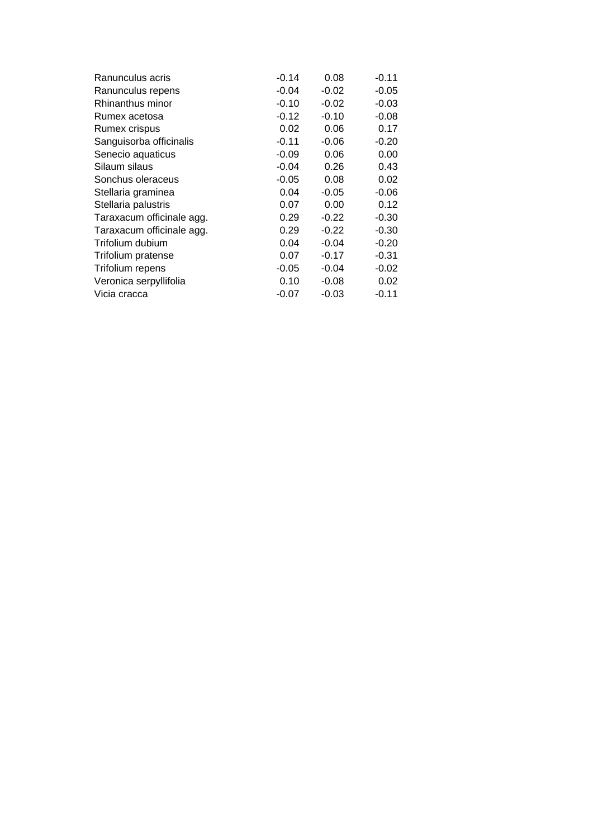| Ranunculus acris          | $-0.14$ | 0.08    | $-0.11$ |
|---------------------------|---------|---------|---------|
| Ranunculus repens         | $-0.04$ | $-0.02$ | $-0.05$ |
| Rhinanthus minor          | $-0.10$ | $-0.02$ | $-0.03$ |
| Rumex acetosa             | $-0.12$ | $-0.10$ | $-0.08$ |
| Rumex crispus             | 0.02    | 0.06    | 0.17    |
| Sanguisorba officinalis   | $-0.11$ | $-0.06$ | $-0.20$ |
| Senecio aquaticus         | $-0.09$ | 0.06    | 0.00    |
| Silaum silaus             | $-0.04$ | 0.26    | 0.43    |
| Sonchus oleraceus         | $-0.05$ | 0.08    | 0.02    |
| Stellaria graminea        | 0.04    | $-0.05$ | $-0.06$ |
| Stellaria palustris       | 0.07    | 0.00    | 0.12    |
| Taraxacum officinale agg. | 0.29    | $-0.22$ | $-0.30$ |
| Taraxacum officinale agg. | 0.29    | $-0.22$ | $-0.30$ |
| Trifolium dubium          | 0.04    | $-0.04$ | $-0.20$ |
| Trifolium pratense        | 0.07    | $-0.17$ | $-0.31$ |
| Trifolium repens          | $-0.05$ | $-0.04$ | $-0.02$ |
| Veronica serpyllifolia    | 0.10    | -0.08   | 0.02    |
| Vicia cracca              | $-0.07$ | $-0.03$ | $-0.11$ |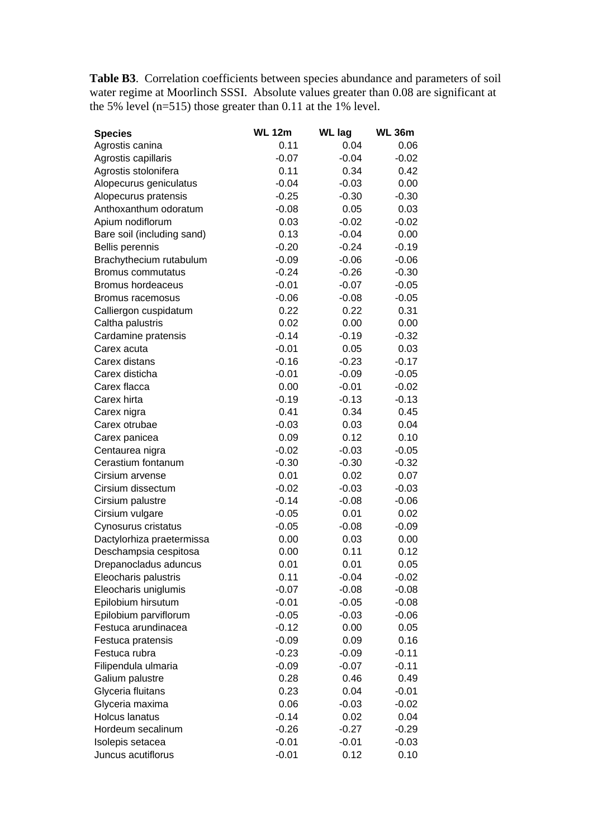**Table B3**. Correlation coefficients between species abundance and parameters of soil water regime at Moorlinch SSSI. Absolute values greater than 0.08 are significant at the 5% level (n=515) those greater than 0.11 at the 1% level.

| <b>Species</b>             | <b>WL 12m</b> | <b>WL lag</b> | <b>WL 36m</b> |
|----------------------------|---------------|---------------|---------------|
| Agrostis canina            | 0.11          | 0.04          | 0.06          |
| Agrostis capillaris        | $-0.07$       | $-0.04$       | $-0.02$       |
| Agrostis stolonifera       | 0.11          | 0.34          | 0.42          |
| Alopecurus geniculatus     | $-0.04$       | $-0.03$       | 0.00          |
| Alopecurus pratensis       | $-0.25$       | $-0.30$       | $-0.30$       |
| Anthoxanthum odoratum      | $-0.08$       | 0.05          | 0.03          |
| Apium nodiflorum           | 0.03          | $-0.02$       | $-0.02$       |
| Bare soil (including sand) | 0.13          | $-0.04$       | 0.00          |
| Bellis perennis            | $-0.20$       | $-0.24$       | $-0.19$       |
| Brachythecium rutabulum    | $-0.09$       | $-0.06$       | $-0.06$       |
| Bromus commutatus          | $-0.24$       | $-0.26$       | $-0.30$       |
| <b>Bromus hordeaceus</b>   | $-0.01$       | $-0.07$       | $-0.05$       |
| Bromus racemosus           | $-0.06$       | $-0.08$       | $-0.05$       |
| Calliergon cuspidatum      | 0.22          | 0.22          | 0.31          |
| Caltha palustris           | 0.02          | 0.00          | 0.00          |
| Cardamine pratensis        | $-0.14$       | $-0.19$       | $-0.32$       |
| Carex acuta                | $-0.01$       | 0.05          | 0.03          |
| Carex distans              | $-0.16$       | $-0.23$       | $-0.17$       |
| Carex disticha             | $-0.01$       | $-0.09$       | $-0.05$       |
| Carex flacca               | 0.00          | $-0.01$       | $-0.02$       |
| Carex hirta                | $-0.19$       | $-0.13$       | $-0.13$       |
| Carex nigra                | 0.41          | 0.34          | 0.45          |
| Carex otrubae              | $-0.03$       | 0.03          | 0.04          |
| Carex panicea              | 0.09          | 0.12          | 0.10          |
| Centaurea nigra            | $-0.02$       | $-0.03$       | $-0.05$       |
| Cerastium fontanum         | $-0.30$       | $-0.30$       | $-0.32$       |
| Cirsium arvense            | 0.01          | 0.02          | 0.07          |
| Cirsium dissectum          | $-0.02$       | $-0.03$       | $-0.03$       |
| Cirsium palustre           | $-0.14$       | $-0.08$       | $-0.06$       |
| Cirsium vulgare            | $-0.05$       | 0.01          | 0.02          |
| Cynosurus cristatus        | $-0.05$       | $-0.08$       | $-0.09$       |
| Dactylorhiza praetermissa  | 0.00          | 0.03          | 0.00          |
| Deschampsia cespitosa      | 0.00          | 0.11          | 0.12          |
| Drepanocladus aduncus      | 0.01          | 0.01          | 0.05          |
| Eleocharis palustris       | 0.11          | $-0.04$       | $-0.02$       |
| Eleocharis uniglumis       | $-0.07$       | $-0.08$       | $-0.08$       |
| Epilobium hirsutum         | $-0.01$       | $-0.05$       | $-0.08$       |
| Epilobium parviflorum      | $-0.05$       | $-0.03$       | $-0.06$       |
| Festuca arundinacea        | $-0.12$       | 0.00          | 0.05          |
| Festuca pratensis          | $-0.09$       | 0.09          | 0.16          |
| Festuca rubra              | $-0.23$       | $-0.09$       | $-0.11$       |
| Filipendula ulmaria        | $-0.09$       | $-0.07$       | $-0.11$       |
| Galium palustre            | 0.28          | 0.46          | 0.49          |
| Glyceria fluitans          | 0.23          | 0.04          | $-0.01$       |
| Glyceria maxima            | 0.06          | $-0.03$       | $-0.02$       |
| Holcus lanatus             | $-0.14$       | 0.02          | 0.04          |
| Hordeum secalinum          | $-0.26$       | $-0.27$       | $-0.29$       |
| Isolepis setacea           | $-0.01$       | $-0.01$       | $-0.03$       |
| Juncus acutiflorus         | $-0.01$       | 0.12          | 0.10          |